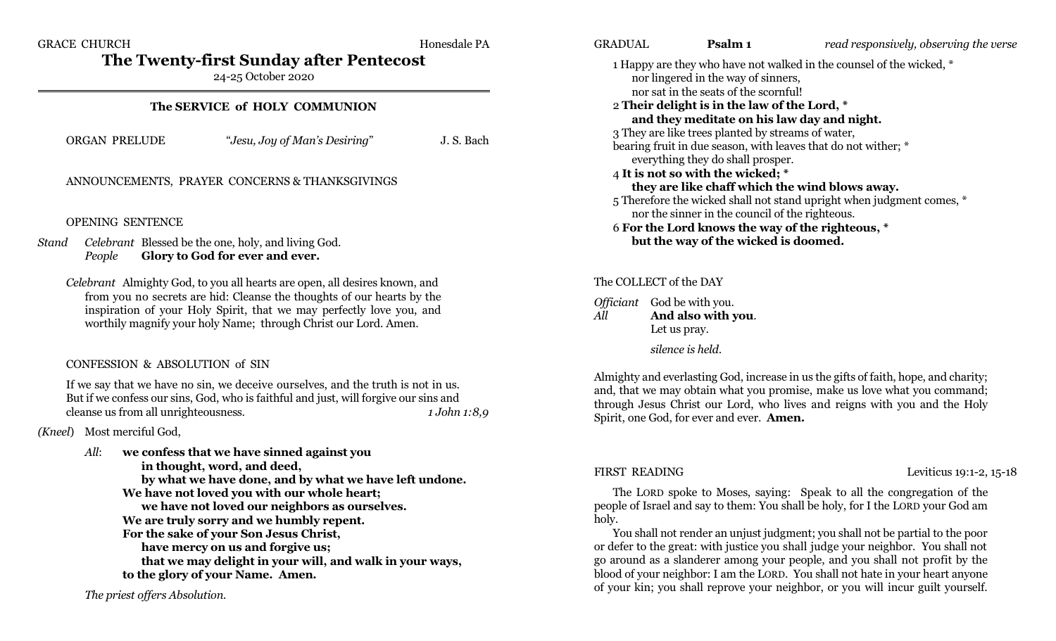GRACE CHURCH **Honesdale PA** 

**The Twenty-first Sunday after Pentecost**

24-25 October 2020

#### **The SERVICE of HOLY COMMUNION**

ORGAN PRELUDE "*Jesu, Joy of Man's Desiring*" J. S. Bach

#### ANNOUNCEMENTS, PRAYER CONCERNS & THANKSGIVINGS

#### OPENING SENTENCE

*Stand Celebrant* Blessed be the one, holy, and living God. *People* **Glory to God for ever and ever.**

*Celebrant* Almighty God, to you all hearts are open, all desires known, and from you no secrets are hid: Cleanse the thoughts of our hearts by the inspiration of your Holy Spirit, that we may perfectly love you, and worthily magnify your holy Name; through Christ our Lord. Amen.

#### CONFESSION & ABSOLUTION of SIN

If we say that we have no sin, we deceive ourselves, and the truth is not in us. But if we confess our sins, God, who is faithful and just, will forgive our sins and cleanse us from all unrighteousness. *1 John 1:8,9*

*(Kneel*) Most merciful God,

*All*: **we confess that we have sinned against you in thought, word, and deed, by what we have done, and by what we have left undone. We have not loved you with our whole heart; we have not loved our neighbors as ourselves. We are truly sorry and we humbly repent. For the sake of your Son Jesus Christ, have mercy on us and forgive us; that we may delight in your will, and walk in your ways, to the glory of your Name. Amen.**

*The priest offers Absolution.*

GRADUAL **Psalm 1** *read responsively, observing the verse* 1 Happy are they who have not walked in the counsel of the wicked, \* nor lingered in the way of sinners, nor sat in the seats of the scornful! 2 **Their delight is in the law of the Lord, \* and they meditate on his law day and night.** 3 They are like trees planted by streams of water, bearing fruit in due season, with leaves that do not wither; \* everything they do shall prosper. 4 **It is not so with the wicked; \* they are like chaff which the wind blows away.** 5 Therefore the wicked shall not stand upright when judgment comes, \* nor the sinner in the council of the righteous. 6 **For the Lord knows the way of the righteous, \* but the way of the wicked is doomed.**

#### The COLLECT of the DAY

*Officiant* God be with you. *All* **And also with you**. Let us pray. *silence is held*.

Almighty and everlasting God, increase in us the gifts of faith, hope, and charity; and, that we may obtain what you promise, make us love what you command; through Jesus Christ our Lord, who lives and reigns with you and the Holy Spirit, one God, for ever and ever. **Amen.**

FIRST READING Leviticus 19:1-2, 15-18

The LORD spoke to Moses, saying: Speak to all the congregation of the people of Israel and say to them: You shall be holy, for I the LORD your God am holy.

You shall not render an unjust judgment; you shall not be partial to the poor or defer to the great: with justice you shall judge your neighbor. You shall not go around as a slanderer among your people, and you shall not profit by the blood of your neighbor: I am the LORD. You shall not hate in your heart anyone of your kin; you shall reprove your neighbor, or you will incur guilt yourself.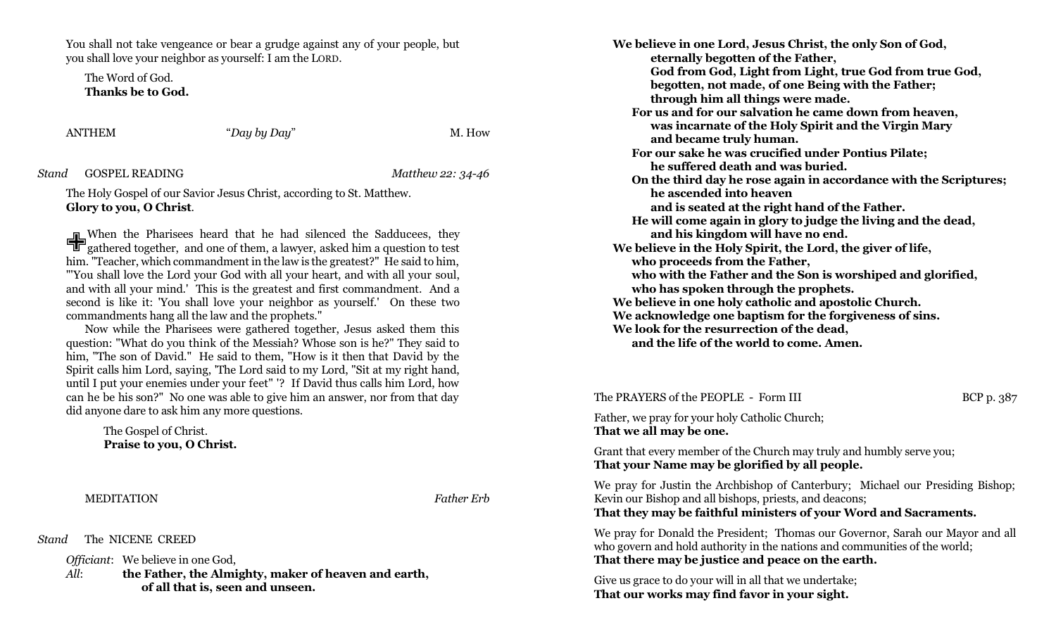You shall not take vengeance or bear a grudge against any of your people, but you shall love your neighbor as yourself: I am the LORD.

The Word of God. **Thanks be to God.**

ANTHEM "*Day by Day*" M. How

*Stand* GOSPEL READING *Matthew 22: 34-46*

The Holy Gospel of our Savior Jesus Christ, according to St. Matthew. **Glory to you, O Christ**.

When the Pharisees heard that he had silenced the Sadducees, they gathered together, and one of them, a lawyer, asked him a question to test gathered together, and one of them, a lawyer, asked him a question to test him. "Teacher, which commandment in the law is the greatest?" He said to him, "'You shall love the Lord your God with all your heart, and with all your soul, and with all your mind.' This is the greatest and first commandment. And a second is like it: 'You shall love your neighbor as yourself.' On these two commandments hang all the law and the prophets."

Now while the Pharisees were gathered together, Jesus asked them this question: "What do you think of the Messiah? Whose son is he?" They said to him, "The son of David." He said to them, "How is it then that David by the Spirit calls him Lord, saying, 'The Lord said to my Lord, "Sit at my right hand, until I put your enemies under your feet" '? If David thus calls him Lord, how can he be his son?" No one was able to give him an answer, nor from that day did anyone dare to ask him any more questions.

The Gospel of Christ. **Praise to you, O Christ.**

MEDITATION *Father Erb*

*Stand* The NICENE CREED

*Officiant*: We believe in one God,

*All*: **the Father, the Almighty, maker of heaven and earth, of all that is, seen and unseen.**

**We believe in one Lord, Jesus Christ, the only Son of God, eternally begotten of the Father, God from God, Light from Light, true God from true God, begotten, not made, of one Being with the Father; through him all things were made. For us and for our salvation he came down from heaven, was incarnate of the Holy Spirit and the Virgin Mary and became truly human. For our sake he was crucified under Pontius Pilate; he suffered death and was buried. On the third day he rose again in accordance with the Scriptures; he ascended into heaven and is seated at the right hand of the Father. He will come again in glory to judge the living and the dead, and his kingdom will have no end. We believe in the Holy Spirit, the Lord, the giver of life, who proceeds from the Father, who with the Father and the Son is worshiped and glorified, who has spoken through the prophets. We believe in one holy catholic and apostolic Church. We acknowledge one baptism for the forgiveness of sins. We look for the resurrection of the dead,**

**and the life of the world to come. Amen.**

The PRAYERS of the PEOPLE - Form III BCP p. 387

Father, we pray for your holy Catholic Church; **That we all may be one.**

Grant that every member of the Church may truly and humbly serve you; **That your Name may be glorified by all people.**

We pray for Justin the Archbishop of Canterbury; Michael our Presiding Bishop; Kevin our Bishop and all bishops, priests, and deacons; **That they may be faithful ministers of your Word and Sacraments.**

We pray for Donald the President; Thomas our Governor, Sarah our Mayor and all who govern and hold authority in the nations and communities of the world; **That there may be justice and peace on the earth.**

Give us grace to do your will in all that we undertake; **That our works may find favor in your sight.**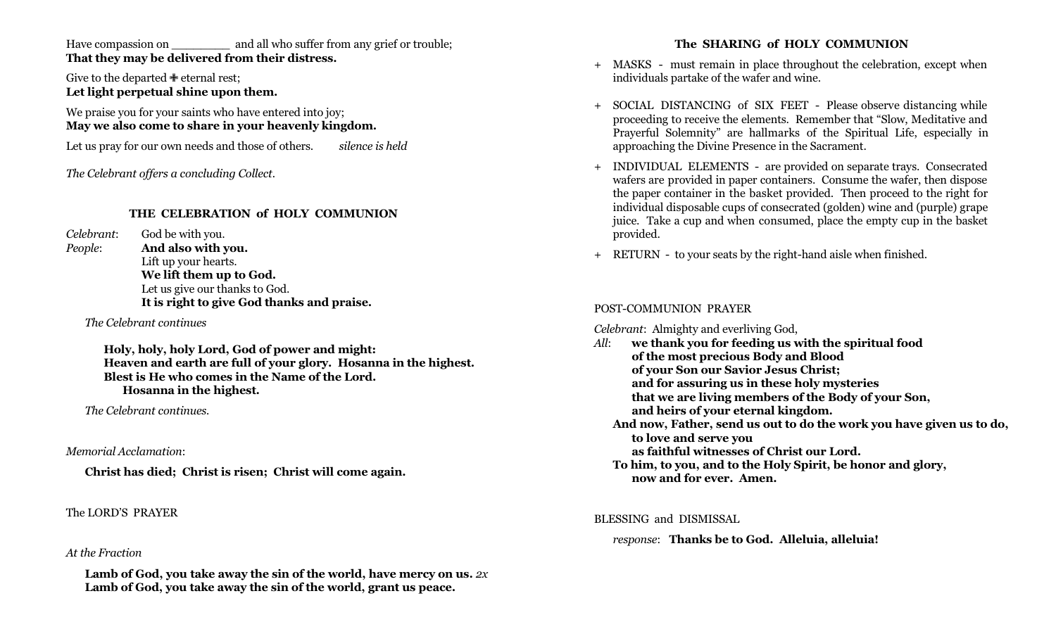Have compassion on \_\_\_\_\_\_\_\_\_\_\_ and all who suffer from any grief or trouble; **That they may be delivered from their distress.**

Give to the departed  $\triangleq$  eternal rest; **Let light perpetual shine upon them.**

We praise you for your saints who have entered into joy; **May we also come to share in your heavenly kingdom.**

Let us pray for our own needs and those of others. *silence is held*

*The Celebrant offers a concluding Collect.*

## **THE CELEBRATION of HOLY COMMUNION**

*Celebrant*: God be with you. *People*: **And also with you.** Lift up your hearts. **We lift them up to God.** Let us give our thanks to God. **It is right to give God thanks and praise.**

*The Celebrant continues*

**Holy, holy, holy Lord, God of power and might: Heaven and earth are full of your glory. Hosanna in the highest. Blest is He who comes in the Name of the Lord. Hosanna in the highest.**

*The Celebrant continues.*

*Memorial Acclamation*:

**Christ has died; Christ is risen; Christ will come again.**

## The LORD'S PRAYER

## *At the Fraction*

**Lamb of God, you take away the sin of the world, have mercy on us.** *2x* **Lamb of God, you take away the sin of the world, grant us peace.**

## **The SHARING of HOLY COMMUNION**

- + MASKS must remain in place throughout the celebration, except when individuals partake of the wafer and wine.
- + SOCIAL DISTANCING of SIX FEET Please observe distancing while proceeding to receive the elements. Remember that "Slow, Meditative and Prayerful Solemnity" are hallmarks of the Spiritual Life, especially in approaching the Divine Presence in the Sacrament.
- + INDIVIDUAL ELEMENTS are provided on separate trays. Consecrated wafers are provided in paper containers. Consume the wafer, then dispose the paper container in the basket provided. Then proceed to the right for individual disposable cups of consecrated (golden) wine and (purple) grape juice. Take a cup and when consumed, place the empty cup in the basket provided.
- + RETURN to your seats by the right-hand aisle when finished.

## POST-COMMUNION PRAYER

*Celebrant*: Almighty and everliving God,

*All*: **we thank you for feeding us with the spiritual food of the most precious Body and Blood of your Son our Savior Jesus Christ; and for assuring us in these holy mysteries that we are living members of the Body of your Son, and heirs of your eternal kingdom. And now, Father, send us out to do the work you have given us to do, to love and serve you as faithful witnesses of Christ our Lord. To him, to you, and to the Holy Spirit, be honor and glory, now and for ever. Amen.**

#### BLESSING and DISMISSAL

## *response*: **Thanks be to God. Alleluia, alleluia!**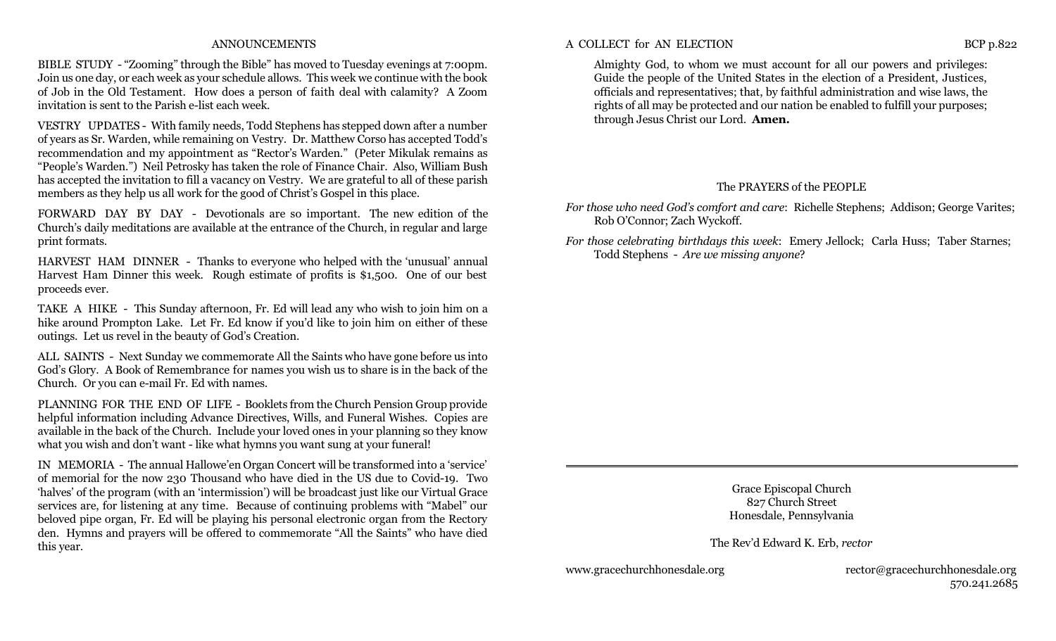#### ANNOUNCEMENTS

BIBLE STUDY - "Zooming" through the Bible" has moved to Tuesday evenings at 7:00pm. Join us one day, or each week as your schedule allows. This week we continue with the book of Job in the Old Testament. How does a person of faith deal with calamity? A Zoom invitation is sent to the Parish e-list each week.

VESTRY UPDATES - With family needs, Todd Stephens has stepped down after a number of years as Sr. Warden, while remaining on Vestry. Dr. Matthew Corso has accepted Todd's recommendation and my appointment as "Rector's Warden." (Peter Mikulak remains as "People's Warden.") Neil Petrosky has taken the role of Finance Chair. Also, William Bush has accepted the invitation to fill a vacancy on Vestry. We are grateful to all of these parish members as they help us all work for the good of Christ's Gospel in this place.

FORWARD DAY BY DAY - Devotionals are so important. The new edition of the Church's daily meditations are available at the entrance of the Church, in regular and large print formats.

HARVEST HAM DINNER - Thanks to everyone who helped with the 'unusual' annual Harvest Ham Dinner this week. Rough estimate of profits is \$1,500. One of our best proceeds ever.

TAKE A HIKE - This Sunday afternoon, Fr. Ed will lead any who wish to join him on a hike around Prompton Lake. Let Fr. Ed know if you'd like to join him on either of these outings. Let us revel in the beauty of God's Creation.

ALL SAINTS - Next Sunday we commemorate All the Saints who have gone before us into God's Glory. A Book of Remembrance for names you wish us to share is in the back of the Church. Or you can e-mail Fr. Ed with names.

PLANNING FOR THE END OF LIFE - Booklets from the Church Pension Group provide helpful information including Advance Directives, Wills, and Funeral Wishes. Copies are available in the back of the Church. Include your loved ones in your planning so they know what you wish and don't want - like what hymns you want sung at your funeral!

IN MEMORIA - The annual Hallowe'en Organ Concert will be transformed into a 'service' of memorial for the now 230 Thousand who have died in the US due to Covid-19. Two 'halves' of the program (with an 'intermission') will be broadcast just like our Virtual Grace services are, for listening at any time. Because of continuing problems with "Mabel" our beloved pipe organ, Fr. Ed will be playing his personal electronic organ from the Rectory den. Hymns and prayers will be offered to commemorate "All the Saints" who have died this year.

Almighty God, to whom we must account for all our powers and privileges: Guide the people of the United States in the election of a President, Justices, officials and representatives; that, by faithful administration and wise laws, the rights of all may be protected and our nation be enabled to fulfill your purposes; through Jesus Christ our Lord. **Amen.**

#### The PRAYERS of the PEOPLE

*For those who need God's comfort and care*: Richelle Stephens; Addison; George Varites; Rob O'Connor; Zach Wyckoff.

*For those celebrating birthdays this week*: Emery Jellock; Carla Huss; Taber Starnes; Todd Stephens - *Are we missing anyone*?

> Grace Episcopal Church 827 Church Street Honesdale, Pennsylvania

The Rev'd Edward K. Erb, *rector*

www.gracechurchhonesdale.org rector@gracechurchhonesdale.org 570.241.2685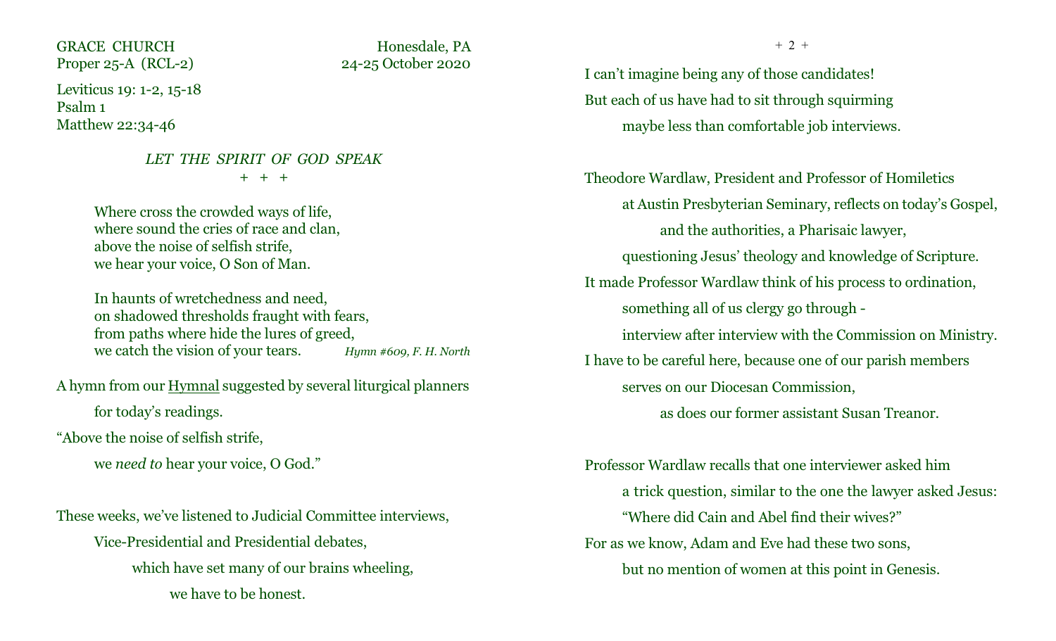GRACE CHURCH Honesdale, PA Proper 25-A (RCL-2) 24-25 October 2020

Leviticus 19: 1-2, 15-18 Psalm 1 Matthew 22:34-46

# *LET THE SPIRIT OF GOD SPEAK* + + +

Where cross the crowded ways of life, where sound the cries of race and clan, above the noise of selfish strife, we hear your voice, O Son of Man.

In haunts of wretchedness and need, on shadowed thresholds fraught with fears, from paths where hide the lures of greed, we catch the vision of your tears. *Hymn #609, F. H. North*

A hymn from our Hymnal suggested by several liturgical planners for today's readings.

"Above the noise of selfish strife,

we *need to* hear your voice, O God."

These weeks, we've listened to Judicial Committee interviews,

Vice-Presidential and Presidential debates, which have set many of our brains wheeling, we have to be honest.

 $+ 2 +$ 

I can't imagine being any of those candidates! But each of us have had to sit through squirming maybe less than comfortable job interviews.

Theodore Wardlaw, President and Professor of Homiletics at Austin Presbyterian Seminary, reflects on today's Gospel, and the authorities, a Pharisaic lawyer, questioning Jesus' theology and knowledge of Scripture. It made Professor Wardlaw think of his process to ordination, something all of us clergy go through interview after interview with the Commission on Ministry. I have to be careful here, because one of our parish members serves on our Diocesan Commission,

as does our former assistant Susan Treanor.

Professor Wardlaw recalls that one interviewer asked him a trick question, similar to the one the lawyer asked Jesus: "Where did Cain and Abel find their wives?" For as we know, Adam and Eve had these two sons, but no mention of women at this point in Genesis.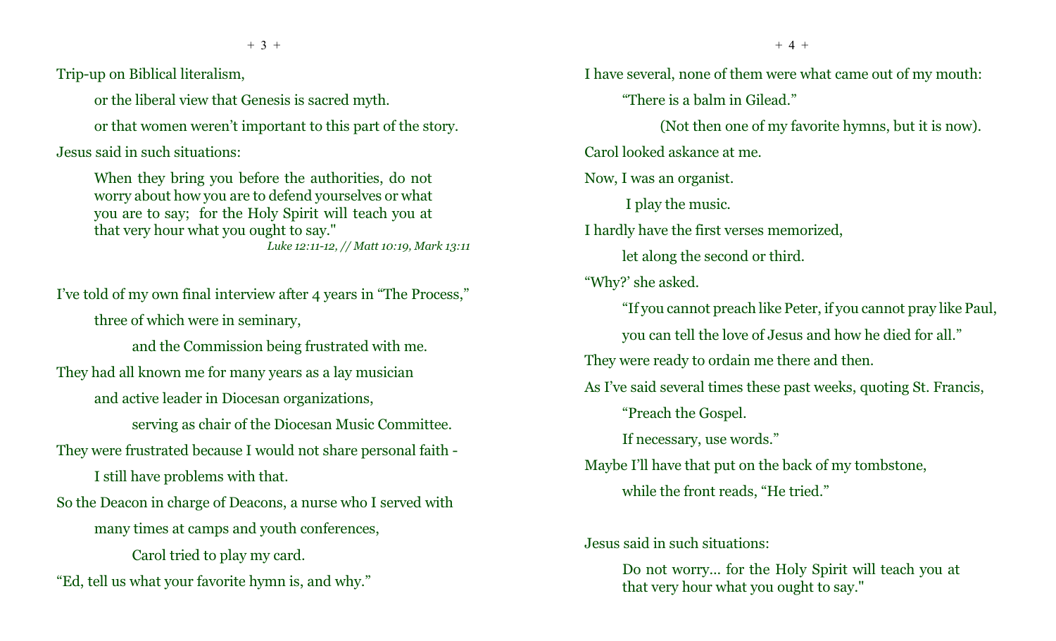Trip-up on Biblical literalism,

or the liberal view that Genesis is sacred myth.

or that women weren't important to this part of the story.

 $+ 3 +$ 

Jesus said in such situations:

When they bring you before the authorities, do not worry about how you are to defend yourselves or what you are to say; for the Holy Spirit will teach you at that very hour what you ought to say." *Luke 12:11-12, // Matt 10:19, Mark 13:11*

I've told of my own final interview after 4 years in "The Process," three of which were in seminary,

and the Commission being frustrated with me. They had all known me for many years as a lay musician and active leader in Diocesan organizations,

serving as chair of the Diocesan Music Committee.

They were frustrated because I would not share personal faith -

I still have problems with that.

So the Deacon in charge of Deacons, a nurse who I served with many times at camps and youth conferences,

Carol tried to play my card.

"Ed, tell us what your favorite hymn is, and why."

I have several, none of them were what came out of my mouth: "There is a balm in Gilead." (Not then one of my favorite hymns, but it is now). Carol looked askance at me. Now, I was an organist. I play the music. I hardly have the first verses memorized, let along the second or third. "Why?' she asked. "If you cannot preach like Peter, if you cannot pray like Paul, you can tell the love of Jesus and how he died for all." They were ready to ordain me there and then. As I've said several times these past weeks, quoting St. Francis, "Preach the Gospel. If necessary, use words." Maybe I'll have that put on the back of my tombstone, while the front reads, "He tried." Jesus said in such situations:

Do not worry... for the Holy Spirit will teach you at that very hour what you ought to say."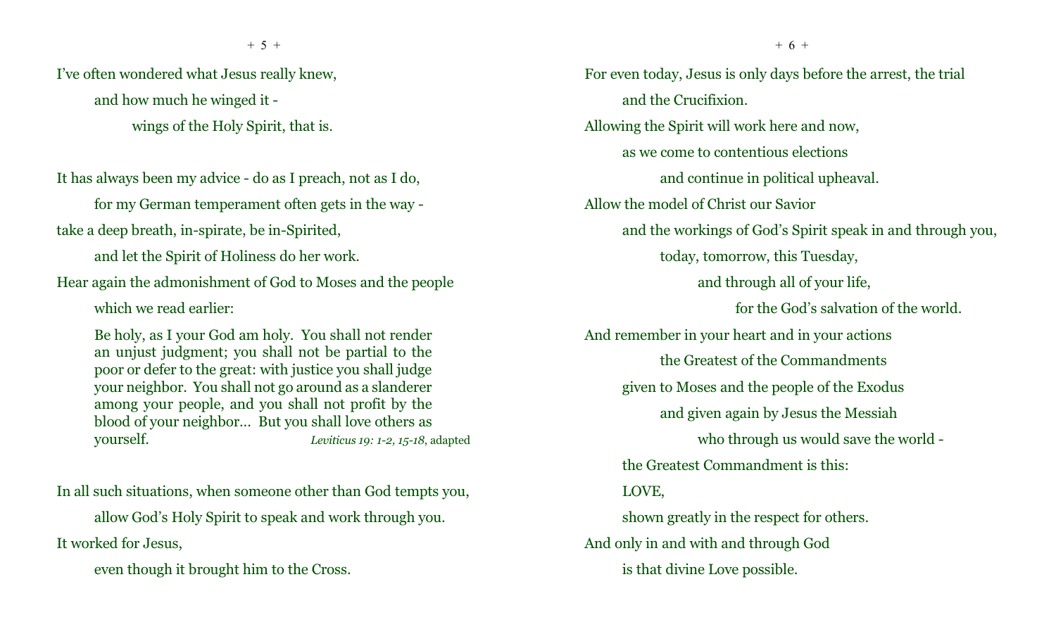I've often wondered what Jesus really knew, and how much he winged it -

wings of the Holy Spirit, that is.

It has always been my advice - do as I preach, not as I do,

for my German temperament often gets in the way -

take a deep breath, in-spirate, be in-Spirited,

and let the Spirit of Holiness do her work.

Hear again the admonishment of God to Moses and the people

which we read earlier:

Be holy, as I your God am holy. You shall not render an unjust judgment; you shall not be partial to the poor or defer to the great: with justice you shall judge your neighbor. You shall not go around as a slanderer among your people, and you shall not profit by the blood of your neighbor... But you shall love others as yourself. *Leviticus 19: 1-2, 15-18*, adapted

In all such situations, when someone other than God tempts you,

allow God's Holy Spirit to speak and work through you. It worked for Jesus,

even though it brought him to the Cross.

For even today, Jesus is only days before the arrest, the trial and the Crucifixion. Allowing the Spirit will work here and now, as we come to contentious elections and continue in political upheaval. Allow the model of Christ our Savior and the workings of God's Spirit speak in and through you, today, tomorrow, this Tuesday, and through all of your life, for the God's salvation of the world. And remember in your heart and in your actions the Greatest of the Commandments given to Moses and the people of the Exodus and given again by Jesus the Messiah who through us would save the world the Greatest Commandment is this: LOVE, shown greatly in the respect for others. And only in and with and through God is that divine Love possible.